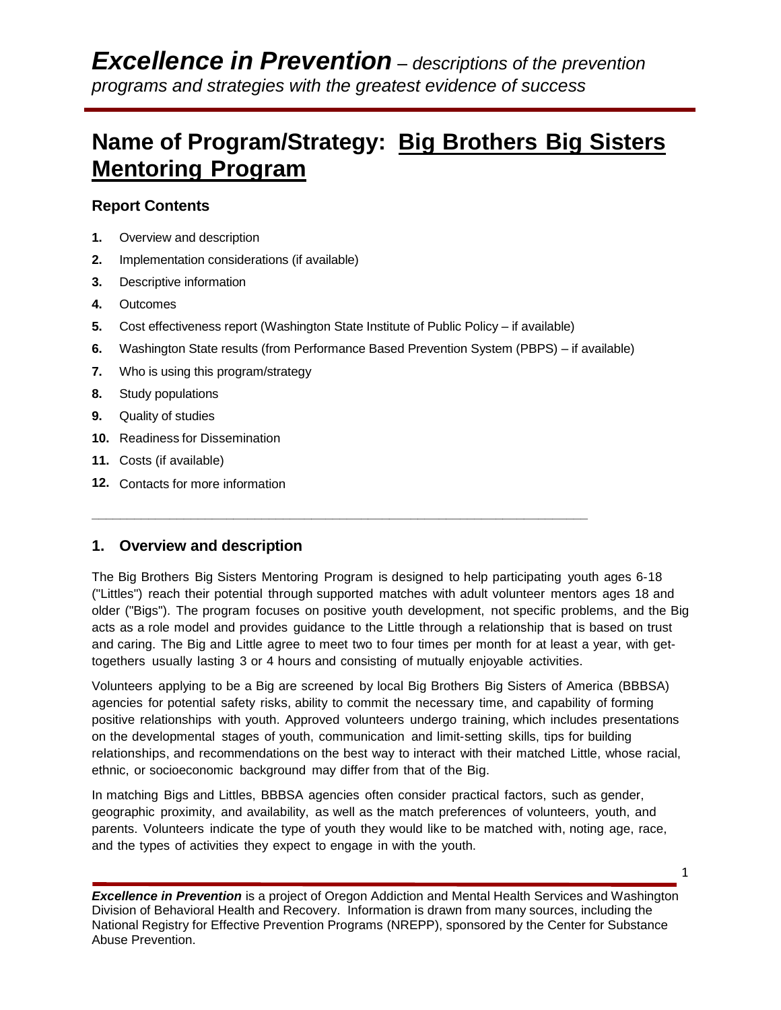# **Name of Program/Strategy: Big Brothers Big Sisters Mentoring Program**

## **Report Contents**

- **1.** Overview and description
- **2.** Implementation considerations (if available)
- **3.** Descriptive information
- **4.** Outcomes
- **5.** Cost effectiveness report (Washington State Institute of Public Policy if available)

**\_\_\_\_\_\_\_\_\_\_\_\_\_\_\_\_\_\_\_\_\_\_\_\_\_\_\_\_\_\_\_\_\_\_\_\_\_\_\_\_\_\_\_\_\_\_\_\_\_\_\_\_\_\_\_\_\_\_\_\_\_\_\_\_\_\_\_\_\_\_**

- **6.** Washington State results (from Performance Based Prevention System (PBPS) if available)
- **7.** Who is using this program/strategy
- **8.** Study populations
- **9.** Quality of studies
- **10.** Readiness for Dissemination
- **11.** Costs (if available)
- **12.** Contacts for more information

## **1. Overview and description**

The Big Brothers Big Sisters Mentoring Program is designed to help participating youth ages 6-18 ("Littles") reach their potential through supported matches with adult volunteer mentors ages 18 and older ("Bigs"). The program focuses on positive youth development, not specific problems, and the Big acts as a role model and provides guidance to the Little through a relationship that is based on trust and caring. The Big and Little agree to meet two to four times per month for at least a year, with gettogethers usually lasting 3 or 4 hours and consisting of mutually enjoyable activities.

Volunteers applying to be a Big are screened by local Big Brothers Big Sisters of America (BBBSA) agencies for potential safety risks, ability to commit the necessary time, and capability of forming positive relationships with youth. Approved volunteers undergo training, which includes presentations on the developmental stages of youth, communication and limit-setting skills, tips for building relationships, and recommendations on the best way to interact with their matched Little, whose racial, ethnic, or socioeconomic background may differ from that of the Big.

In matching Bigs and Littles, BBBSA agencies often consider practical factors, such as gender, geographic proximity, and availability, as well as the match preferences of volunteers, youth, and parents. Volunteers indicate the type of youth they would like to be matched with, noting age, race, and the types of activities they expect to engage in with the youth.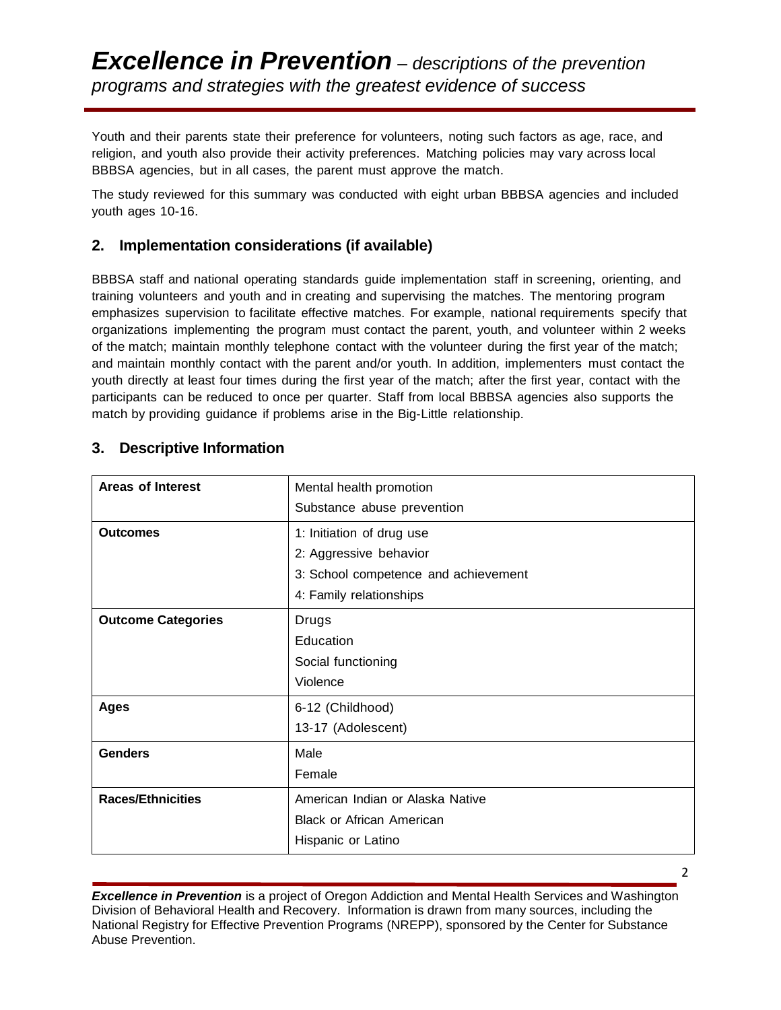Youth and their parents state their preference for volunteers, noting such factors as age, race, and religion, and youth also provide their activity preferences. Matching policies may vary across local BBBSA agencies, but in all cases, the parent must approve the match.

The study reviewed for this summary was conducted with eight urban BBBSA agencies and included youth ages 10-16.

### **2. Implementation considerations (if available)**

BBBSA staff and national operating standards guide implementation staff in screening, orienting, and training volunteers and youth and in creating and supervising the matches. The mentoring program emphasizes supervision to facilitate effective matches. For example, national requirements specify that organizations implementing the program must contact the parent, youth, and volunteer within 2 weeks of the match; maintain monthly telephone contact with the volunteer during the first year of the match; and maintain monthly contact with the parent and/or youth. In addition, implementers must contact the youth directly at least four times during the first year of the match; after the first year, contact with the participants can be reduced to once per quarter. Staff from local BBBSA agencies also supports the match by providing guidance if problems arise in the Big-Little relationship.

## **3. Descriptive Information**

| <b>Areas of Interest</b>  | Mental health promotion<br>Substance abuse prevention |  |  |  |
|---------------------------|-------------------------------------------------------|--|--|--|
| <b>Outcomes</b>           | 1: Initiation of drug use                             |  |  |  |
|                           | 2: Aggressive behavior                                |  |  |  |
|                           | 3: School competence and achievement                  |  |  |  |
|                           | 4: Family relationships                               |  |  |  |
| <b>Outcome Categories</b> | Drugs                                                 |  |  |  |
|                           | Education                                             |  |  |  |
|                           | Social functioning                                    |  |  |  |
|                           | Violence                                              |  |  |  |
| <b>Ages</b>               | 6-12 (Childhood)                                      |  |  |  |
|                           | 13-17 (Adolescent)                                    |  |  |  |
| <b>Genders</b>            | Male                                                  |  |  |  |
|                           | Female                                                |  |  |  |
| <b>Races/Ethnicities</b>  | American Indian or Alaska Native                      |  |  |  |
|                           | <b>Black or African American</b>                      |  |  |  |
|                           | Hispanic or Latino                                    |  |  |  |

*Excellence in Prevention* is a project of Oregon Addiction and Mental Health Services and Washington Division of Behavioral Health and Recovery. Information is drawn from many sources, including the National Registry for Effective Prevention Programs (NREPP), sponsored by the Center for Substance Abuse Prevention.

2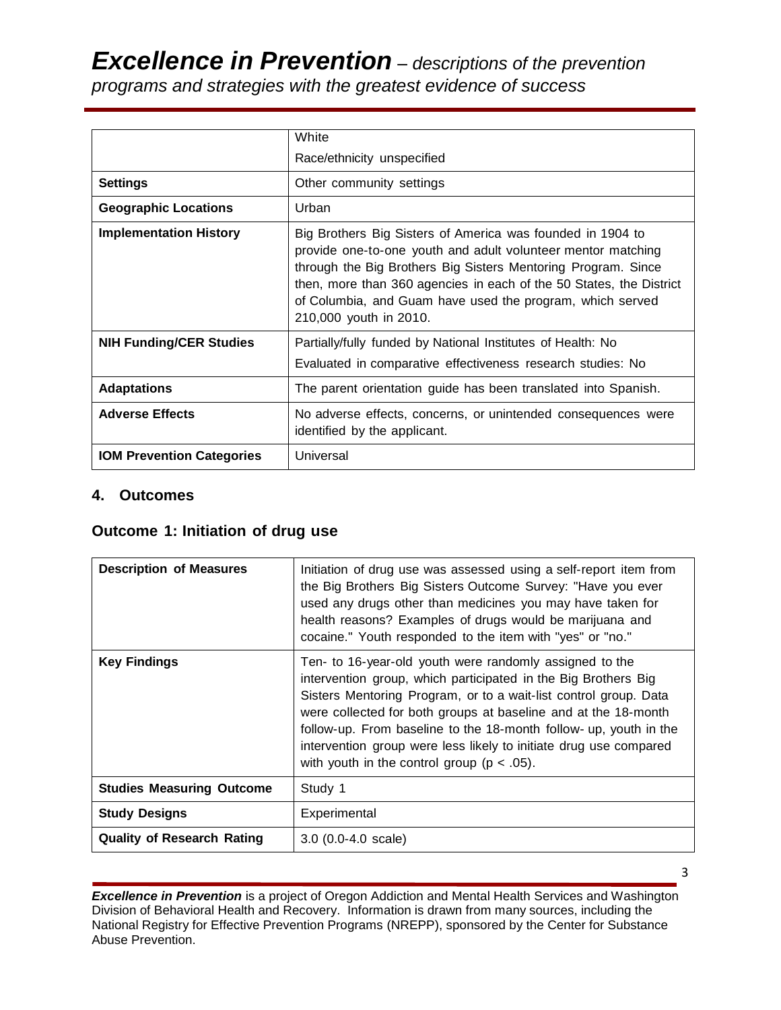*Excellence in Prevention – descriptions of the prevention programs and strategies with the greatest evidence of success*

|                                  | White<br>Race/ethnicity unspecified                                                                                                                                                                                                                                                                                                                       |  |  |  |  |
|----------------------------------|-----------------------------------------------------------------------------------------------------------------------------------------------------------------------------------------------------------------------------------------------------------------------------------------------------------------------------------------------------------|--|--|--|--|
|                                  |                                                                                                                                                                                                                                                                                                                                                           |  |  |  |  |
| <b>Settings</b>                  | Other community settings                                                                                                                                                                                                                                                                                                                                  |  |  |  |  |
| <b>Geographic Locations</b>      | Urban                                                                                                                                                                                                                                                                                                                                                     |  |  |  |  |
| <b>Implementation History</b>    | Big Brothers Big Sisters of America was founded in 1904 to<br>provide one-to-one youth and adult volunteer mentor matching<br>through the Big Brothers Big Sisters Mentoring Program. Since<br>then, more than 360 agencies in each of the 50 States, the District<br>of Columbia, and Guam have used the program, which served<br>210,000 youth in 2010. |  |  |  |  |
| <b>NIH Funding/CER Studies</b>   | Partially/fully funded by National Institutes of Health: No<br>Evaluated in comparative effectiveness research studies: No                                                                                                                                                                                                                                |  |  |  |  |
|                                  |                                                                                                                                                                                                                                                                                                                                                           |  |  |  |  |
| <b>Adaptations</b>               | The parent orientation guide has been translated into Spanish.                                                                                                                                                                                                                                                                                            |  |  |  |  |
| <b>Adverse Effects</b>           | No adverse effects, concerns, or unintended consequences were<br>identified by the applicant.                                                                                                                                                                                                                                                             |  |  |  |  |
| <b>IOM Prevention Categories</b> | Universal                                                                                                                                                                                                                                                                                                                                                 |  |  |  |  |

#### **4. Outcomes**

## **Outcome 1: Initiation of drug use**

| <b>Description of Measures</b>    | Initiation of drug use was assessed using a self-report item from<br>the Big Brothers Big Sisters Outcome Survey: "Have you ever<br>used any drugs other than medicines you may have taken for<br>health reasons? Examples of drugs would be marijuana and<br>cocaine." Youth responded to the item with "yes" or "no."                                                                                                                                     |
|-----------------------------------|-------------------------------------------------------------------------------------------------------------------------------------------------------------------------------------------------------------------------------------------------------------------------------------------------------------------------------------------------------------------------------------------------------------------------------------------------------------|
| <b>Key Findings</b>               | Ten- to 16-year-old youth were randomly assigned to the<br>intervention group, which participated in the Big Brothers Big<br>Sisters Mentoring Program, or to a wait-list control group. Data<br>were collected for both groups at baseline and at the 18-month<br>follow-up. From baseline to the 18-month follow- up, youth in the<br>intervention group were less likely to initiate drug use compared<br>with youth in the control group ( $p < .05$ ). |
| <b>Studies Measuring Outcome</b>  | Study 1                                                                                                                                                                                                                                                                                                                                                                                                                                                     |
| <b>Study Designs</b>              | Experimental                                                                                                                                                                                                                                                                                                                                                                                                                                                |
| <b>Quality of Research Rating</b> | $3.0$ (0.0-4.0 scale)                                                                                                                                                                                                                                                                                                                                                                                                                                       |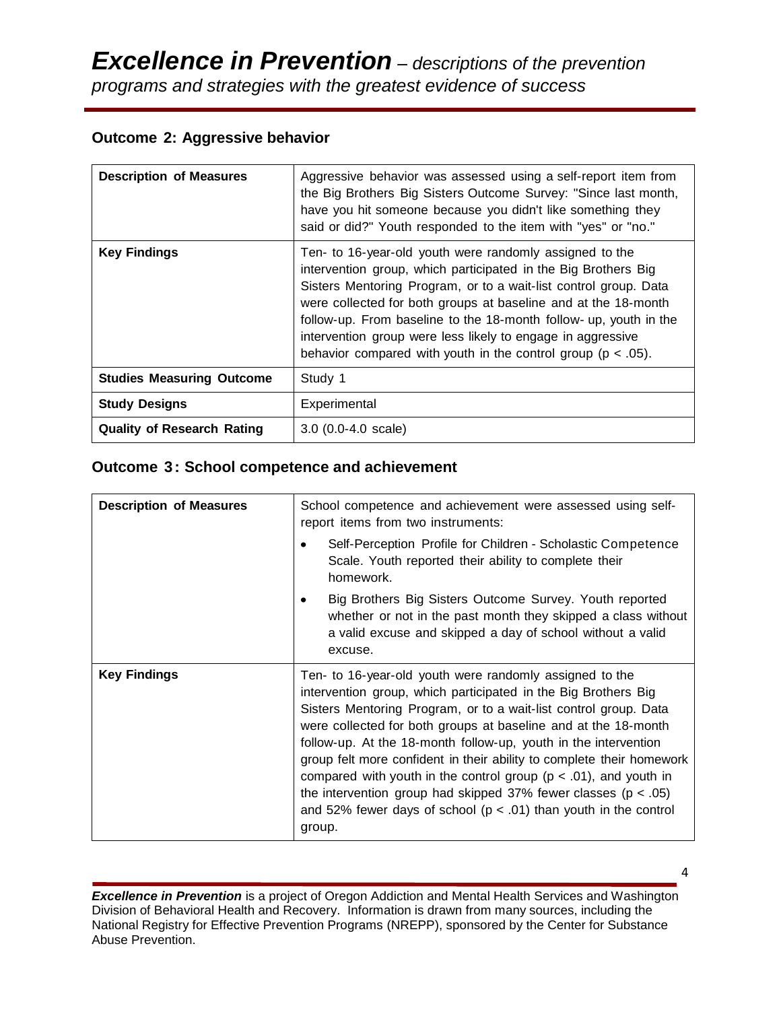## **Outcome 2: Aggressive behavior**

| <b>Description of Measures</b>    | Aggressive behavior was assessed using a self-report item from<br>the Big Brothers Big Sisters Outcome Survey: "Since last month,<br>have you hit someone because you didn't like something they<br>said or did?" Youth responded to the item with "yes" or "no."                                                                                                                                                                                                       |  |  |  |
|-----------------------------------|-------------------------------------------------------------------------------------------------------------------------------------------------------------------------------------------------------------------------------------------------------------------------------------------------------------------------------------------------------------------------------------------------------------------------------------------------------------------------|--|--|--|
| <b>Key Findings</b>               | Ten- to 16-year-old youth were randomly assigned to the<br>intervention group, which participated in the Big Brothers Big<br>Sisters Mentoring Program, or to a wait-list control group. Data<br>were collected for both groups at baseline and at the 18-month<br>follow-up. From baseline to the 18-month follow- up, youth in the<br>intervention group were less likely to engage in aggressive<br>behavior compared with youth in the control group ( $p < .05$ ). |  |  |  |
| <b>Studies Measuring Outcome</b>  | Study 1                                                                                                                                                                                                                                                                                                                                                                                                                                                                 |  |  |  |
| <b>Study Designs</b>              | Experimental                                                                                                                                                                                                                                                                                                                                                                                                                                                            |  |  |  |
| <b>Quality of Research Rating</b> | $3.0$ (0.0-4.0 scale)                                                                                                                                                                                                                                                                                                                                                                                                                                                   |  |  |  |

## **Outcome 3: School competence and achievement**

| <b>Description of Measures</b> | School competence and achievement were assessed using self-<br>report items from two instruments:                                                                                                                                                                                                                                                                                                                                                                                                                                                                                                                                           |  |  |  |  |
|--------------------------------|---------------------------------------------------------------------------------------------------------------------------------------------------------------------------------------------------------------------------------------------------------------------------------------------------------------------------------------------------------------------------------------------------------------------------------------------------------------------------------------------------------------------------------------------------------------------------------------------------------------------------------------------|--|--|--|--|
|                                | Self-Perception Profile for Children - Scholastic Competence<br>$\bullet$<br>Scale. Youth reported their ability to complete their<br>homework.                                                                                                                                                                                                                                                                                                                                                                                                                                                                                             |  |  |  |  |
|                                | Big Brothers Big Sisters Outcome Survey. Youth reported<br>٠<br>whether or not in the past month they skipped a class without<br>a valid excuse and skipped a day of school without a valid<br>excuse.                                                                                                                                                                                                                                                                                                                                                                                                                                      |  |  |  |  |
| <b>Key Findings</b>            | Ten- to 16-year-old youth were randomly assigned to the<br>intervention group, which participated in the Big Brothers Big<br>Sisters Mentoring Program, or to a wait-list control group. Data<br>were collected for both groups at baseline and at the 18-month<br>follow-up. At the 18-month follow-up, youth in the intervention<br>group felt more confident in their ability to complete their homework<br>compared with youth in the control group ( $p < .01$ ), and youth in<br>the intervention group had skipped 37% fewer classes ( $p < .05$ )<br>and 52% fewer days of school ( $p < .01$ ) than youth in the control<br>group. |  |  |  |  |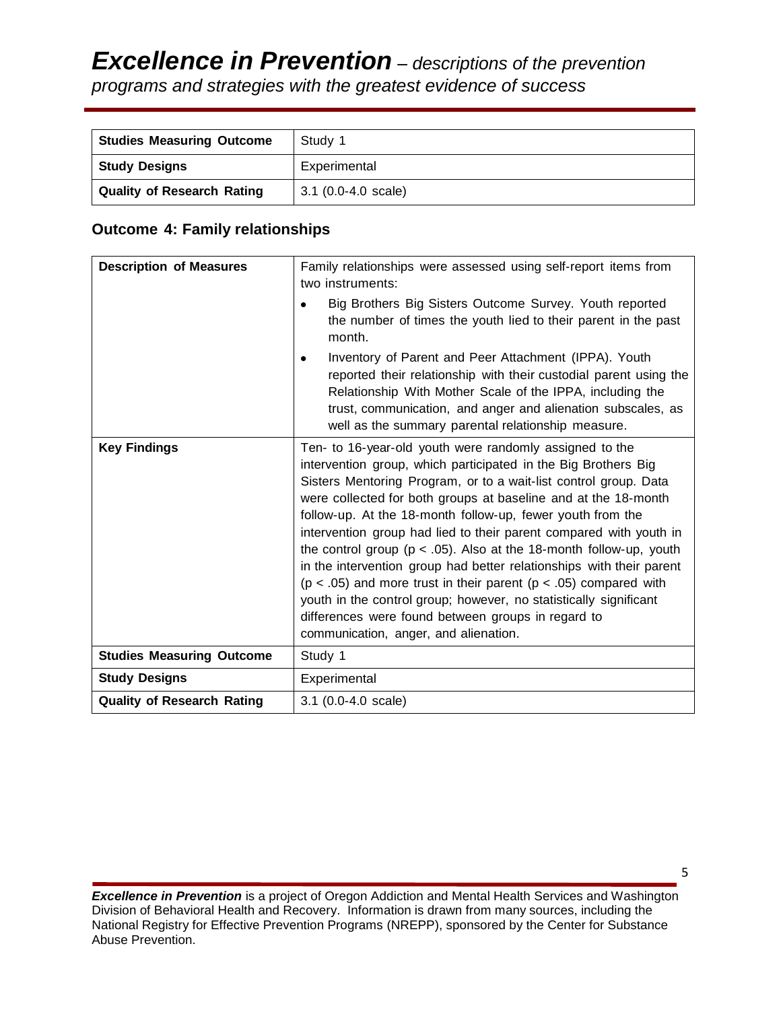| <b>Studies Measuring Outcome</b>  | Study 1               |
|-----------------------------------|-----------------------|
| <b>Study Designs</b>              | Experimental          |
| <b>Quality of Research Rating</b> | $3.1$ (0.0-4.0 scale) |

## **Outcome 4: Family relationships**

| <b>Description of Measures</b>    | Family relationships were assessed using self-report items from<br>two instruments:                                                                                                                                                                                                                                                                                                                                                                                                                                                                                                                                                                                                                                                                                                                   |  |  |  |  |
|-----------------------------------|-------------------------------------------------------------------------------------------------------------------------------------------------------------------------------------------------------------------------------------------------------------------------------------------------------------------------------------------------------------------------------------------------------------------------------------------------------------------------------------------------------------------------------------------------------------------------------------------------------------------------------------------------------------------------------------------------------------------------------------------------------------------------------------------------------|--|--|--|--|
|                                   | Big Brothers Big Sisters Outcome Survey. Youth reported<br>the number of times the youth lied to their parent in the past<br>month.                                                                                                                                                                                                                                                                                                                                                                                                                                                                                                                                                                                                                                                                   |  |  |  |  |
|                                   | Inventory of Parent and Peer Attachment (IPPA). Youth<br>٠<br>reported their relationship with their custodial parent using the<br>Relationship With Mother Scale of the IPPA, including the<br>trust, communication, and anger and alienation subscales, as<br>well as the summary parental relationship measure.                                                                                                                                                                                                                                                                                                                                                                                                                                                                                    |  |  |  |  |
| <b>Key Findings</b>               | Ten- to 16-year-old youth were randomly assigned to the<br>intervention group, which participated in the Big Brothers Big<br>Sisters Mentoring Program, or to a wait-list control group. Data<br>were collected for both groups at baseline and at the 18-month<br>follow-up. At the 18-month follow-up, fewer youth from the<br>intervention group had lied to their parent compared with youth in<br>the control group ( $p < .05$ ). Also at the 18-month follow-up, youth<br>in the intervention group had better relationships with their parent<br>( $p < .05$ ) and more trust in their parent ( $p < .05$ ) compared with<br>youth in the control group; however, no statistically significant<br>differences were found between groups in regard to<br>communication, anger, and alienation. |  |  |  |  |
| <b>Studies Measuring Outcome</b>  | Study 1                                                                                                                                                                                                                                                                                                                                                                                                                                                                                                                                                                                                                                                                                                                                                                                               |  |  |  |  |
| <b>Study Designs</b>              | Experimental                                                                                                                                                                                                                                                                                                                                                                                                                                                                                                                                                                                                                                                                                                                                                                                          |  |  |  |  |
| <b>Quality of Research Rating</b> | 3.1 (0.0-4.0 scale)                                                                                                                                                                                                                                                                                                                                                                                                                                                                                                                                                                                                                                                                                                                                                                                   |  |  |  |  |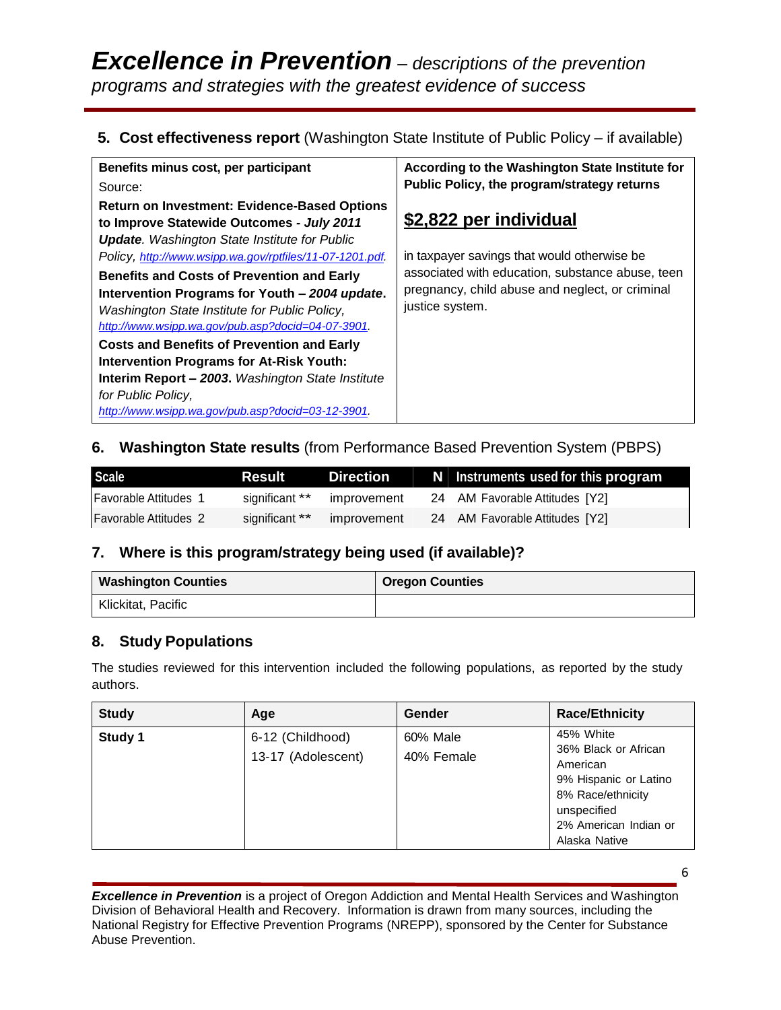## **5. Cost effectiveness report** (Washington State Institute of Public Policy – if available)

| Benefits minus cost, per participant                                                                                                                                                                                                                                                                                                                                                                                                                                                                                                                                                                                                                                             | According to the Washington State Institute for                                                                                                                                                 |  |  |
|----------------------------------------------------------------------------------------------------------------------------------------------------------------------------------------------------------------------------------------------------------------------------------------------------------------------------------------------------------------------------------------------------------------------------------------------------------------------------------------------------------------------------------------------------------------------------------------------------------------------------------------------------------------------------------|-------------------------------------------------------------------------------------------------------------------------------------------------------------------------------------------------|--|--|
| Source:                                                                                                                                                                                                                                                                                                                                                                                                                                                                                                                                                                                                                                                                          | Public Policy, the program/strategy returns                                                                                                                                                     |  |  |
| <b>Return on Investment: Evidence-Based Options</b><br>to Improve Statewide Outcomes - July 2011<br><b>Update.</b> Washington State Institute for Public<br>Policy, http://www.wsipp.wa.gov/rptfiles/11-07-1201.pdf.<br><b>Benefits and Costs of Prevention and Early</b><br>Intervention Programs for Youth - 2004 update.<br>Washington State Institute for Public Policy,<br>http://www.wsipp.wa.gov/pub.asp?docid=04-07-3901.<br><b>Costs and Benefits of Prevention and Early</b><br><b>Intervention Programs for At-Risk Youth:</b><br><b>Interim Report - 2003.</b> Washington State Institute<br>for Public Policy,<br>http://www.wsipp.wa.gov/pub.asp?docid=03-12-3901. | \$2,822 per individual<br>in taxpayer savings that would otherwise be<br>associated with education, substance abuse, teen<br>pregnancy, child abuse and neglect, or criminal<br>justice system. |  |  |

## **6. Washington State results** (from Performance Based Prevention System (PBPS)

| <b>Scale</b>          | Result         | Direction   | N Instruments used for this program |
|-----------------------|----------------|-------------|-------------------------------------|
| Favorable Attitudes 1 | significant ** | improvement | 24 AM Favorable Attitudes [Y2]      |
| Favorable Attitudes 2 | significant ** | improvement | 24 AM Favorable Attitudes [Y2]      |

## **7. Where is this program/strategy being used (if available)?**

| <b>Washington Counties</b> | <b>Oregon Counties</b> |
|----------------------------|------------------------|
| Klickitat, Pacific         |                        |

# **8. Study Populations**

The studies reviewed for this intervention included the following populations, as reported by the study authors.

| <b>Study</b> | Age                                    | Gender                 | <b>Race/Ethnicity</b>                                                                                                                                |
|--------------|----------------------------------------|------------------------|------------------------------------------------------------------------------------------------------------------------------------------------------|
| Study 1      | 6-12 (Childhood)<br>13-17 (Adolescent) | 60% Male<br>40% Female | 45% White<br>36% Black or African<br>American<br>9% Hispanic or Latino<br>8% Race/ethnicity<br>unspecified<br>2% American Indian or<br>Alaska Native |

*Excellence in Prevention* is a project of Oregon Addiction and Mental Health Services and Washington Division of Behavioral Health and Recovery. Information is drawn from many sources, including the National Registry for Effective Prevention Programs (NREPP), sponsored by the Center for Substance Abuse Prevention.

6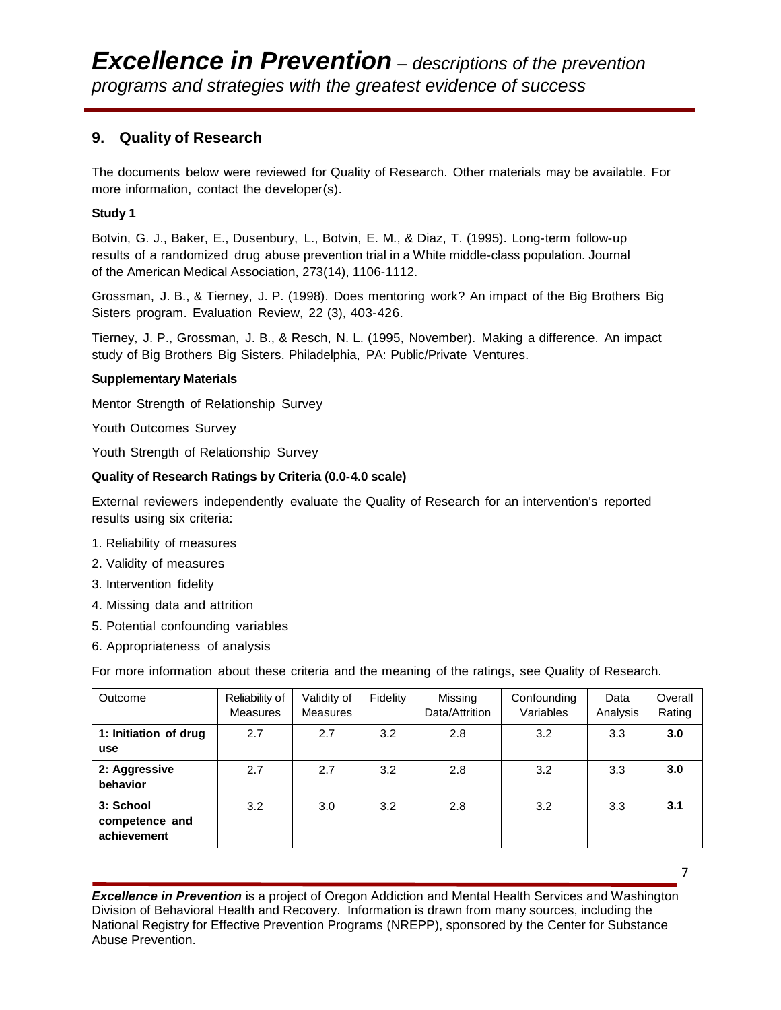## **9. Quality of Research**

The documents below were reviewed for Quality of Research. Other materials may be available. For more information, contact the developer(s).

#### **Study 1**

Botvin, G. J., Baker, E., [Dusenbury,](http://www.ncbi.nlm.nih.gov/sites/entrez?Db=pubmed&Cmd=ShowDetailView&TermToSearch=7707598&ordinalpos=1&itool=EntrezSystem2.PEntrez.Pubmed.Pubmed_ResultsPanel.Pubmed_RVDocSum) L., Botvin, E. M., & Diaz, T. (1995). Long-term follow-up results of a randomized drug abuse prevention trial in a [White middle-class population. Journal](http://www.ncbi.nlm.nih.gov/sites/entrez?Db=pubmed&Cmd=ShowDetailView&TermToSearch=7707598&ordinalpos=1&itool=EntrezSystem2.PEntrez.Pubmed.Pubmed_ResultsPanel.Pubmed_RVDocSum)  [of the American Medical Association, 273\(14\), 1106-1112.](http://www.ncbi.nlm.nih.gov/sites/entrez?Db=pubmed&Cmd=ShowDetailView&TermToSearch=7707598&ordinalpos=1&itool=EntrezSystem2.PEntrez.Pubmed.Pubmed_ResultsPanel.Pubmed_RVDocSum) 

Grossman, J. B., & Tierney, J. P. (1998). Does mentoring work? An impact of the Big Brothers Big Sisters program. Evaluation Review, 22 (3), 403-426.

Tierney, J. P., Grossman, J. B., & Resch, N. L. (1995, November). Making a difference. An impact study of Big Brothers Big Sisters. Philadelphia, PA: Public/Private Ventures.

#### **Supplementary Materials**

Mentor Strength of Relationship Survey

Youth Outcomes Survey

Youth Strength of Relationship Survey

#### **Quality of Research Ratings by Criteria (0.0-4.0 scale)**

External reviewers independently evaluate the Quality of Research for an intervention's reported results using six criteria:

- 1. Reliability of measures
- 2. Validity of measures
- 3. Intervention fidelity
- 4. Missing data and attrition
- 5. Potential confounding variables
- 6. Appropriateness of analysis

For more information about these criteria and the meaning of the ratings, see Quality of Research.

| Outcome                                    | Reliability of<br><b>Measures</b> | Validity of<br>Measures | Fidelity | Missing<br>Data/Attrition | Confounding<br>Variables | Data<br>Analysis | Overall<br>Rating |
|--------------------------------------------|-----------------------------------|-------------------------|----------|---------------------------|--------------------------|------------------|-------------------|
| 1: Initiation of drug<br>use               | 2.7                               | 2.7                     | 3.2      | 2.8                       | 3.2                      | 3.3              | 3.0               |
| 2: Aggressive<br>behavior                  | 2.7                               | 2.7                     | 3.2      | 2.8                       | 3.2                      | 3.3              | 3.0               |
| 3: School<br>competence and<br>achievement | 3.2                               | 3.0                     | 3.2      | 2.8                       | 3.2                      | 3.3              | 3.1               |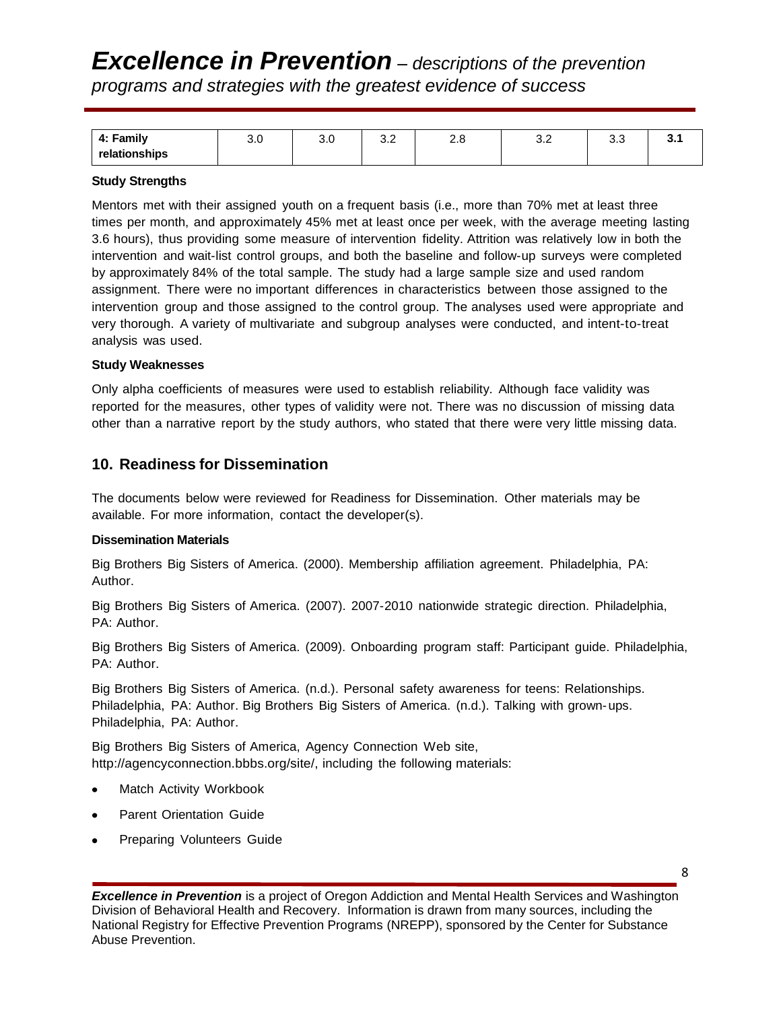# *Excellence in Prevention – descriptions of the prevention programs and strategies with the greatest evidence of success*

| Family<br>д.  | ∪.⊽ | $\sim$ $\sim$<br>v.v | ົ<br>$\mathsf{v}.\mathsf{v}$ | ົດເ<br>z.o | ے.ت | ს.ს | v. |
|---------------|-----|----------------------|------------------------------|------------|-----|-----|----|
| relationships |     |                      |                              |            |     |     |    |

#### **Study Strengths**

Mentors met with their assigned youth on a frequent basis (i.e., more than 70% met at least three times per month, and approximately 45% met at least once per week, with the average meeting lasting 3.6 hours), thus providing some measure of intervention fidelity. Attrition was relatively low in both the intervention and wait-list control groups, and both the baseline and follow-up surveys were completed by approximately 84% of the total sample. The study had a large sample size and used random assignment. There were no important differences in characteristics between those assigned to the intervention group and those assigned to the control group. The analyses used were appropriate and very thorough. A variety of multivariate and subgroup analyses were conducted, and intent-to-treat analysis was used.

#### **Study Weaknesses**

Only alpha coefficients of measures were used to establish reliability. Although face validity was reported for the measures, other types of validity were not. There was no discussion of missing data other than a narrative report by the study authors, who stated that there were very little missing data.

### **10. Readiness for Dissemination**

The documents below were reviewed for Readiness for Dissemination. Other materials may be available. For more information, contact the developer(s).

#### **Dissemination Materials**

Big Brothers Big Sisters of America. (2000). Membership affiliation agreement. Philadelphia, PA: Author.

Big Brothers Big Sisters of America. (2007). 2007-2010 nationwide strategic direction. Philadelphia, PA: Author.

Big Brothers Big Sisters of America. (2009). Onboarding program staff: Participant guide. Philadelphia, PA: Author.

Big Brothers Big Sisters of America. (n.d.). Personal safety awareness for teens: Relationships. Philadelphia, PA: Author. Big Brothers Big Sisters of America. (n.d.). Talking with grown-ups. Philadelphia, PA: Author.

Big Brothers Big Sisters of America, Agency Connection Web site, http://agencyconnection.bbbs.org/site/, including the following materials:

- Match Activity Workbook
- Parent Orientation Guide
- Preparing Volunteers Guide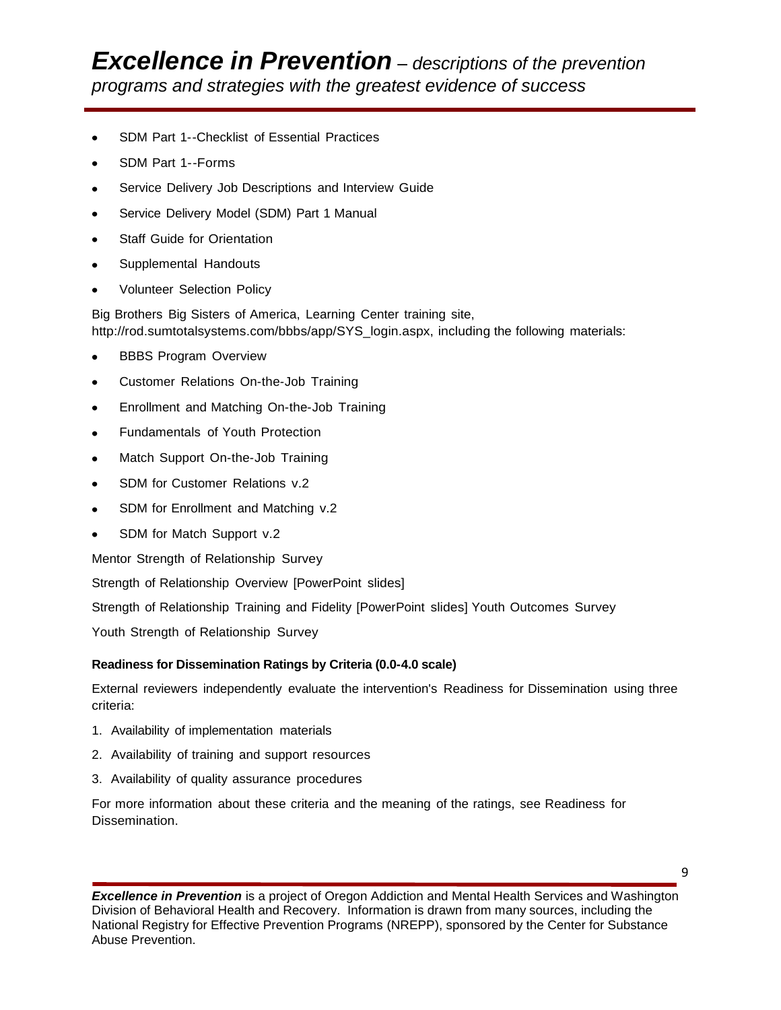- SDM Part 1--Checklist of Essential Practices
- SDM Part 1--Forms
- Service Delivery Job Descriptions and Interview Guide
- Service Delivery Model (SDM) Part 1 Manual  $\bullet$
- Staff Guide for Orientation
- Supplemental Handouts
- Volunteer Selection Policy

Big Brothers Big Sisters of America, Learning Center training site, http://rod.sumtotalsystems.com/bbbs/app/SYS\_login.aspx, including the following materials:

- BBBS Program Overview  $\bullet$
- Customer Relations On-the-Job Training  $\bullet$
- Enrollment and Matching On-the-Job Training
- Fundamentals of Youth Protection  $\bullet$
- Match Support On-the-Job Training
- SDM for Customer Relations v.2  $\bullet$
- SDM for Enrollment and Matching v.2
- SDM for Match Support v.2  $\bullet$

Mentor Strength of Relationship Survey

Strength of Relationship Overview [PowerPoint slides]

Strength of Relationship Training and Fidelity [PowerPoint slides] Youth Outcomes Survey

Youth Strength of Relationship Survey

#### **Readiness for Dissemination Ratings by Criteria (0.0-4.0 scale)**

External reviewers independently evaluate the intervention's Readiness for Dissemination using three criteria:

- 1. Availability of implementation materials
- 2. Availability of training and support resources
- 3. Availability of quality assurance procedures

For more information about these criteria and the meaning of the ratings, see Readiness for Dissemination.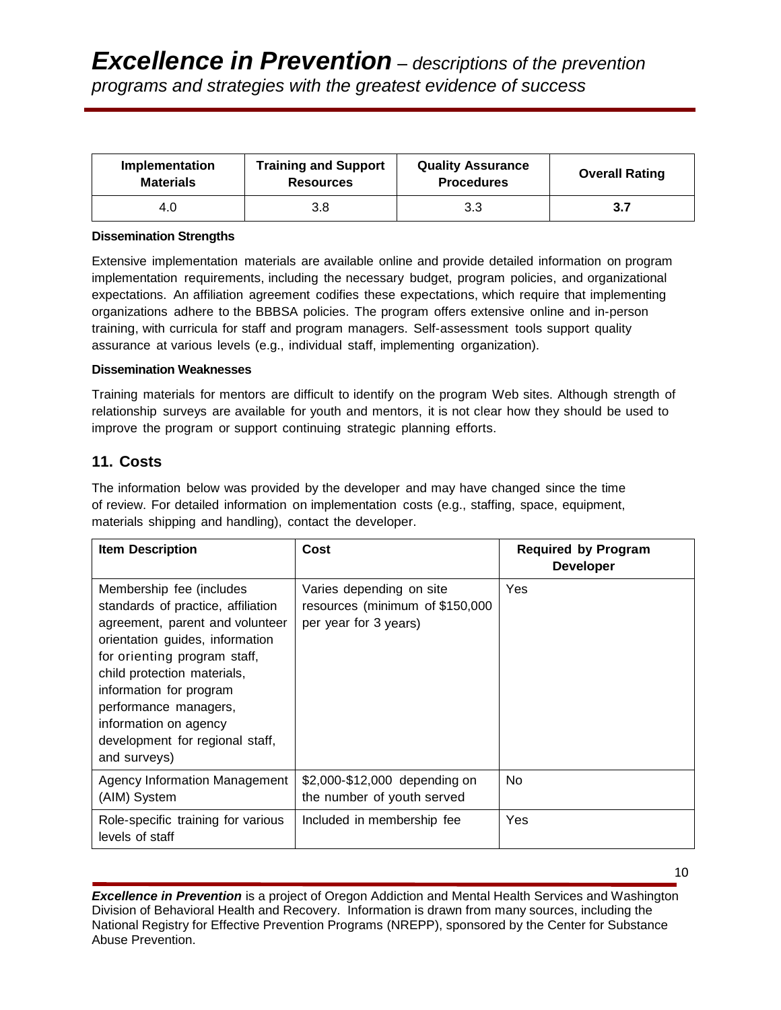| Implementation   | <b>Training and Support</b> | <b>Quality Assurance</b> | <b>Overall Rating</b> |
|------------------|-----------------------------|--------------------------|-----------------------|
| <b>Materials</b> | <b>Resources</b>            | <b>Procedures</b>        |                       |
| 4.0              | 3.8                         | 3.3                      | 3.7                   |

#### **Dissemination Strengths**

Extensive implementation materials are available online and provide detailed information on program implementation requirements, including the necessary budget, program policies, and organizational expectations. An affiliation agreement codifies these expectations, which require that implementing organizations adhere to the BBBSA policies. The program offers extensive online and in-person training, with curricula for staff and program managers. Self-assessment tools support quality assurance at various levels (e.g., individual staff, implementing organization).

#### **Dissemination Weaknesses**

Training materials for mentors are difficult to identify on the program Web sites. Although strength of relationship surveys are available for youth and mentors, it is not clear how they should be used to improve the program or support continuing strategic planning efforts.

## **11. Costs**

The information below was provided by the developer and may have changed since the time of review. For detailed information on implementation costs (e.g., staffing, space, equipment, materials shipping and handling), contact the developer.

| <b>Item Description</b>                                                                                                                                                                                                                                                                                                             | Cost                                                                                 | <b>Required by Program</b><br><b>Developer</b> |
|-------------------------------------------------------------------------------------------------------------------------------------------------------------------------------------------------------------------------------------------------------------------------------------------------------------------------------------|--------------------------------------------------------------------------------------|------------------------------------------------|
| Membership fee (includes<br>standards of practice, affiliation<br>agreement, parent and volunteer<br>orientation guides, information<br>for orienting program staff,<br>child protection materials,<br>information for program<br>performance managers,<br>information on agency<br>development for regional staff,<br>and surveys) | Varies depending on site<br>resources (minimum of \$150,000<br>per year for 3 years) | Yes                                            |
| Agency Information Management<br>(AIM) System                                                                                                                                                                                                                                                                                       | \$2,000-\$12,000 depending on<br>the number of youth served                          | No.                                            |
| Role-specific training for various<br>levels of staff                                                                                                                                                                                                                                                                               | Included in membership fee                                                           | Yes                                            |